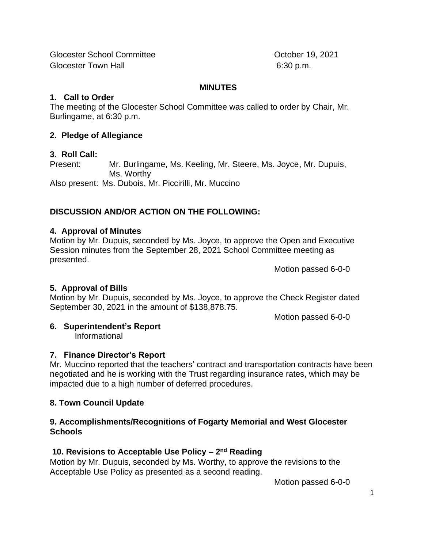Glocester School Committee **Community** Clocester 19, 2021 Glocester Town Hall 6:30 p.m.

#### **MINUTES**

### **1. Call to Order**

The meeting of the Glocester School Committee was called to order by Chair, Mr. Burlingame, at 6:30 p.m.

## **2. Pledge of Allegiance**

## **3. Roll Call:**

Present: Mr. Burlingame, Ms. Keeling, Mr. Steere, Ms. Joyce, Mr. Dupuis, Ms. Worthy

Also present: Ms. Dubois, Mr. Piccirilli, Mr. Muccino

# **DISCUSSION AND/OR ACTION ON THE FOLLOWING:**

# **4. Approval of Minutes**

Motion by Mr. Dupuis, seconded by Ms. Joyce, to approve the Open and Executive Session minutes from the September 28, 2021 School Committee meeting as presented.

Motion passed 6-0-0

# **5. Approval of Bills**

Motion by Mr. Dupuis, seconded by Ms. Joyce, to approve the Check Register dated September 30, 2021 in the amount of \$138,878.75.

Motion passed 6-0-0

# **6. Superintendent's Report**

Informational

# **7. Finance Director's Report**

Mr. Muccino reported that the teachers' contract and transportation contracts have been negotiated and he is working with the Trust regarding insurance rates, which may be impacted due to a high number of deferred procedures.

# **8. Town Council Update**

### **9. Accomplishments/Recognitions of Fogarty Memorial and West Glocester Schools**

# **10. Revisions to Acceptable Use Policy – 2 nd Reading**

Motion by Mr. Dupuis, seconded by Ms. Worthy, to approve the revisions to the Acceptable Use Policy as presented as a second reading.

Motion passed 6-0-0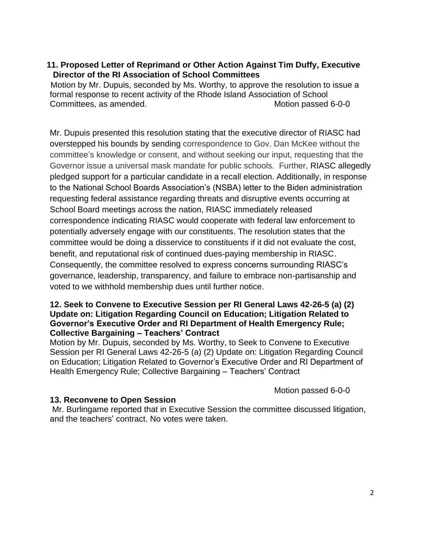## **11. Proposed Letter of Reprimand or Other Action Against Tim Duffy, Executive Director of the RI Association of School Committees**

 Motion by Mr. Dupuis, seconded by Ms. Worthy, to approve the resolution to issue a formal response to recent activity of the Rhode Island Association of School Committees, as amended. Committees, as amended.

Mr. Dupuis presented this resolution stating that the executive director of RIASC had overstepped his bounds by sending correspondence to Gov. Dan McKee without the committee's knowledge or consent, and without seeking our input, requesting that the Governor issue a universal mask mandate for public schools. Further, RIASC allegedly pledged support for a particular candidate in a recall election. Additionally, in response to the National School Boards Association's (NSBA) letter to the Biden administration requesting federal assistance regarding threats and disruptive events occurring at School Board meetings across the nation, RIASC immediately released correspondence indicating RIASC would cooperate with federal law enforcement to potentially adversely engage with our constituents. The resolution states that the committee would be doing a disservice to constituents if it did not evaluate the cost, benefit, and reputational risk of continued dues-paying membership in RIASC. Consequently, the committee resolved to express concerns surrounding RIASC's governance, leadership, transparency, and failure to embrace non-partisanship and voted to we withhold membership dues until further notice.

#### **12. Seek to Convene to Executive Session per RI General Laws 42-26-5 (a) (2) Update on: Litigation Regarding Council on Education; Litigation Related to Governor's Executive Order and RI Department of Health Emergency Rule; Collective Bargaining – Teachers' Contract**

Motion by Mr. Dupuis, seconded by Ms. Worthy, to Seek to Convene to Executive Session per RI General Laws 42-26-5 (a) (2) Update on: Litigation Regarding Council on Education; Litigation Related to Governor's Executive Order and RI Department of Health Emergency Rule; Collective Bargaining – Teachers' Contract

Motion passed 6-0-0

#### **13. Reconvene to Open Session**

Mr. Burlingame reported that in Executive Session the committee discussed litigation, and the teachers' contract. No votes were taken.